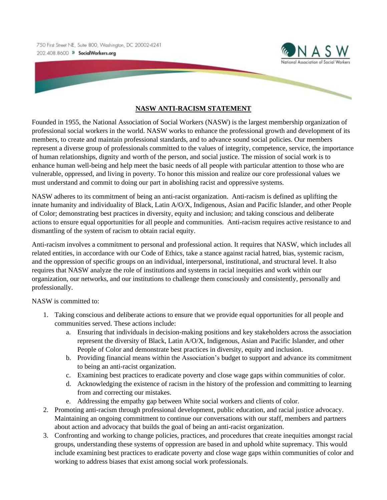750 First Street NE, Suite 800, Washington, DC 20002-4241 202.408.8600 >> SocialWorkers.org



## **NASW ANTI-RACISM STATEMENT**

Founded in 1955, the National Association of Social Workers (NASW) is the largest membership organization of professional social workers in the world. NASW works to enhance the professional growth and development of its members, to create and maintain professional standards, and to advance sound social policies. Our members represent a diverse group of professionals committed to the values of integrity, competence, service, the importance of human relationships, dignity and worth of the person, and social justice. The mission of social work is to enhance human well-being and help meet the basic needs of all people with particular attention to those who are vulnerable, oppressed, and living in poverty. To honor this mission and realize our core professional values we must understand and commit to doing our part in abolishing racist and oppressive systems.

NASW adheres to its commitment of being an anti-racist organization. Anti-racism is defined as uplifting the innate humanity and individuality of Black, Latin A/O/X, Indigenous, Asian and Pacific Islander, and other People of Color; demonstrating best practices in diversity, equity and inclusion; and taking conscious and deliberate actions to ensure equal opportunities for all people and communities. Anti-racism requires active resistance to and dismantling of the system of racism to obtain racial equity.

Anti-racism involves a commitment to personal and professional action. It requires that NASW, which includes all related entities, in accordance with our Code of Ethics, take a stance against racial hatred, bias, systemic racism, and the oppression of specific groups on an individual, interpersonal, institutional, and structural level. It also requires that NASW analyze the role of institutions and systems in racial inequities and work within our organization, our networks, and our institutions to challenge them consciously and consistently, personally and professionally.

NASW is committed to:

- 1. Taking conscious and deliberate actions to ensure that we provide equal opportunities for all people and communities served. These actions include:
	- a. Ensuring that individuals in decision-making positions and key stakeholders across the association represent the diversity of Black, Latin A/O/X, Indigenous, Asian and Pacific Islander, and other People of Color and demonstrate best practices in diversity, equity and inclusion.
	- b. Providing financial means within the Association's budget to support and advance its commitment to being an anti-racist organization.
	- c. Examining best practices to eradicate poverty and close wage gaps within communities of color.
	- d. Acknowledging the existence of racism in the history of the profession and committing to learning from and correcting our mistakes.
	- e. Addressing the empathy gap between White social workers and clients of color.
- 2. Promoting anti-racism through professional development, public education, and racial justice advocacy. Maintaining an ongoing commitment to continue our conversations with our staff, members and partners about action and advocacy that builds the goal of being an anti-racist organization.
- 3. Confronting and working to change policies, practices, and procedures that create inequities amongst racial groups, understanding these systems of oppression are based in and uphold white supremacy. This would include examining best practices to eradicate poverty and close wage gaps within communities of color and working to address biases that exist among social work professionals.